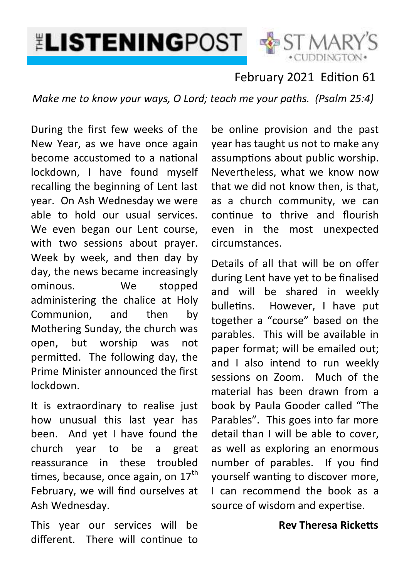

**\*CUDDINGTON** 

## February 2021 Edition 61

*Make me to know your ways, O Lord; teach me your paths. (Psalm 25:4)*

During the first few weeks of the New Year, as we have once again become accustomed to a national lockdown, I have found myself recalling the beginning of Lent last year. On Ash Wednesday we were able to hold our usual services. We even began our Lent course, with two sessions about prayer. Week by week, and then day by day, the news became increasingly ominous. We stopped administering the chalice at Holy Communion, and then by Mothering Sunday, the church was open, but worship was not permitted. The following day, the Prime Minister announced the first lockdown.

It is extraordinary to realise just how unusual this last year has been. And yet I have found the church year to be a great reassurance in these troubled times, because, once again, on  $17<sup>th</sup>$ February, we will find ourselves at Ash Wednesday.

This year our services will be different. There will continue to

be online provision and the past year has taught us not to make any assumptions about public worship. Nevertheless, what we know now that we did not know then, is that, as a church community, we can continue to thrive and flourish even in the most unexpected circumstances.

Details of all that will be on offer during Lent have yet to be finalised and will be shared in weekly bulletins. However, I have put together a "course" based on the parables. This will be available in paper format; will be emailed out; and I also intend to run weekly sessions on Zoom. Much of the material has been drawn from a book by Paula Gooder called "The Parables". This goes into far more detail than I will be able to cover, as well as exploring an enormous number of parables. If you find yourself wanting to discover more, I can recommend the book as a source of wisdom and expertise.

### **Rev Theresa Ricketts**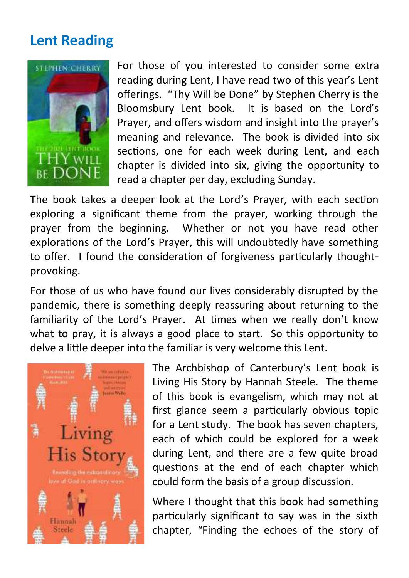# **Lent Reading**



For those of you interested to consider some extra reading during Lent, I have read two of this year's Lent offerings. "Thy Will be Done" by Stephen Cherry is the Bloomsbury Lent book. It is based on the Lord's Prayer, and offers wisdom and insight into the prayer's meaning and relevance. The book is divided into six sections, one for each week during Lent, and each chapter is divided into six, giving the opportunity to read a chapter per day, excluding Sunday.

The book takes a deeper look at the Lord's Prayer, with each section exploring a significant theme from the prayer, working through the prayer from the beginning. Whether or not you have read other explorations of the Lord's Prayer, this will undoubtedly have something to offer. I found the consideration of forgiveness particularly thoughtprovoking.

For those of us who have found our lives considerably disrupted by the pandemic, there is something deeply reassuring about returning to the familiarity of the Lord's Prayer. At times when we really don't know what to pray, it is always a good place to start. So this opportunity to delve a little deeper into the familiar is very welcome this Lent.



The Archbishop of Canterbury's Lent book is Living His Story by Hannah Steele. The theme of this book is evangelism, which may not at first glance seem a particularly obvious topic for a Lent study. The book has seven chapters, each of which could be explored for a week during Lent, and there are a few quite broad questions at the end of each chapter which could form the basis of a group discussion.

Where I thought that this book had something particularly significant to say was in the sixth chapter, "Finding the echoes of the story of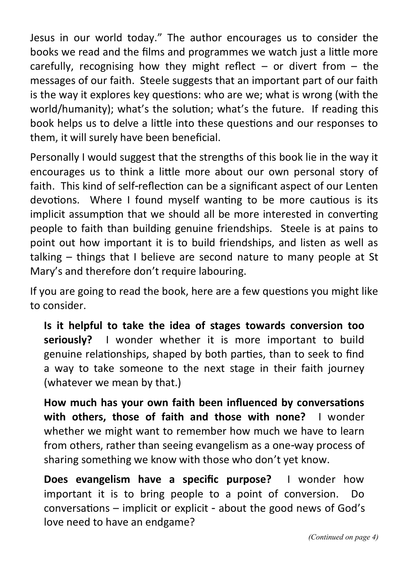Jesus in our world today." The author encourages us to consider the books we read and the films and programmes we watch just a little more carefully, recognising how they might reflect  $-$  or divert from  $-$  the messages of our faith. Steele suggests that an important part of our faith is the way it explores key questions: who are we; what is wrong (with the world/humanity); what's the solution; what's the future. If reading this book helps us to delve a little into these questions and our responses to them, it will surely have been beneficial.

Personally I would suggest that the strengths of this book lie in the way it encourages us to think a little more about our own personal story of faith. This kind of self-reflection can be a significant aspect of our Lenten devotions. Where I found myself wanting to be more cautious is its implicit assumption that we should all be more interested in converting people to faith than building genuine friendships. Steele is at pains to point out how important it is to build friendships, and listen as well as talking – things that I believe are second nature to many people at St Mary's and therefore don't require labouring.

If you are going to read the book, here are a few questions you might like to consider.

**Is it helpful to take the idea of stages towards conversion too seriously?** I wonder whether it is more important to build genuine relationships, shaped by both parties, than to seek to find a way to take someone to the next stage in their faith journey (whatever we mean by that.)

**How much has your own faith been influenced by conversations with others, those of faith and those with none?** I wonder whether we might want to remember how much we have to learn from others, rather than seeing evangelism as a one-way process of sharing something we know with those who don't yet know.

**Does evangelism have a specific purpose?** I wonder how important it is to bring people to a point of conversion. Do conversations – implicit or explicit - about the good news of God's love need to have an endgame?